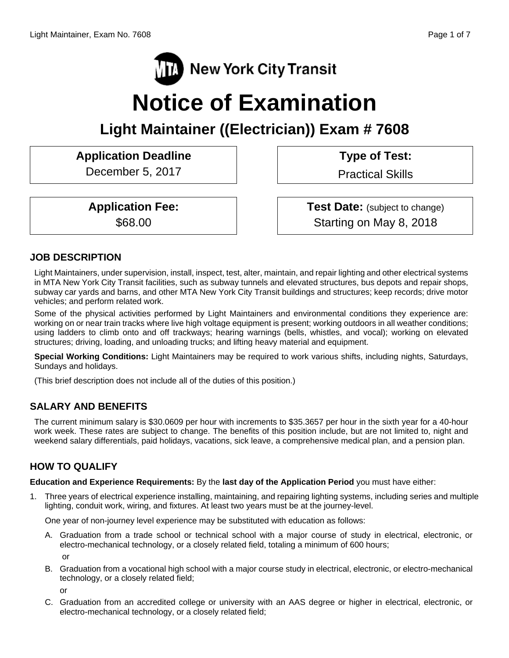

# **Notice of Examination**

## **Light Maintainer ((Electrician)) Exam # 7608**

### Application Deadline **Type of Test:**

December 5, 2017 | Practical Skills

**Application Fee:**  $\qquad$  **Test Date:** (subject to change) \$68.00 Starting on May 8, 2018

#### **JOB DESCRIPTION**

Light Maintainers, under supervision, install, inspect, test, alter, maintain, and repair lighting and other electrical systems in MTA New York City Transit facilities, such as subway tunnels and elevated structures, bus depots and repair shops, subway car yards and barns, and other MTA New York City Transit buildings and structures; keep records; drive motor vehicles; and perform related work.

Some of the physical activities performed by Light Maintainers and environmental conditions they experience are: working on or near train tracks where live high voltage equipment is present; working outdoors in all weather conditions; using ladders to climb onto and off trackways; hearing warnings (bells, whistles, and vocal); working on elevated structures; driving, loading, and unloading trucks; and lifting heavy material and equipment.

**Special Working Conditions:** Light Maintainers may be required to work various shifts, including nights, Saturdays, Sundays and holidays.

(This brief description does not include all of the duties of this position.)

#### **SALARY AND BENEFITS**

The current minimum salary is \$30.0609 per hour with increments to \$35.3657 per hour in the sixth year for a 40-hour work week. These rates are subject to change. The benefits of this position include, but are not limited to, night and weekend salary differentials, paid holidays, vacations, sick leave, a comprehensive medical plan, and a pension plan.

### **HOW TO QUALIFY**

**Education and Experience Requirements:** By the **last day of the Application Period** you must have either:

1. Three years of electrical experience installing, maintaining, and repairing lighting systems, including series and multiple lighting, conduit work, wiring, and fixtures. At least two years must be at the journey-level.

One year of non-journey level experience may be substituted with education as follows:

- A. Graduation from a trade school or technical school with a major course of study in electrical, electronic, or electro-mechanical technology, or a closely related field, totaling a minimum of 600 hours; or
- B. Graduation from a vocational high school with a major course study in electrical, electronic, or electro-mechanical technology, or a closely related field;

or

C. Graduation from an accredited college or university with an AAS degree or higher in electrical, electronic, or electro-mechanical technology, or a closely related field;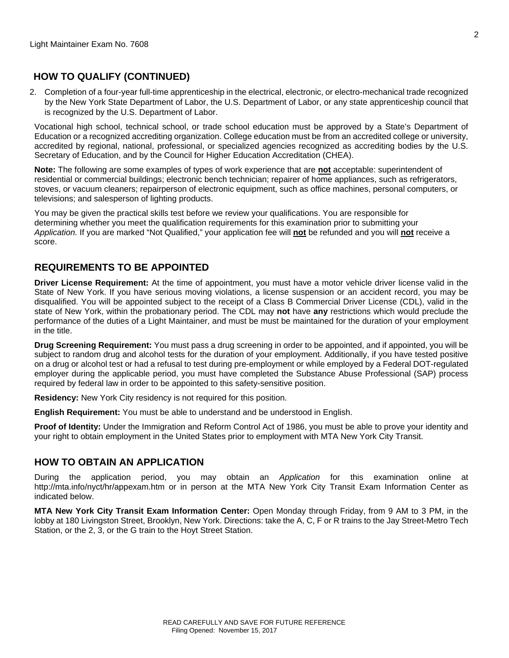#### **HOW TO QUALIFY (CONTINUED)**

2. Completion of a four-year full-time apprenticeship in the electrical, electronic, or electro-mechanical trade recognized by the New York State Department of Labor, the U.S. Department of Labor, or any state apprenticeship council that is recognized by the U.S. Department of Labor.

Vocational high school, technical school, or trade school education must be approved by a State's Department of Education or a recognized accrediting organization. College education must be from an accredited college or university, accredited by regional, national, professional, or specialized agencies recognized as accrediting bodies by the U.S. Secretary of Education, and by the Council for Higher Education Accreditation (CHEA).

**Note:** The following are some examples of types of work experience that are **not** acceptable: superintendent of residential or commercial buildings; electronic bench technician; repairer of home appliances, such as refrigerators, stoves, or vacuum cleaners; repairperson of electronic equipment, such as office machines, personal computers, or televisions; and salesperson of lighting products.

You may be given the practical skills test before we review your qualifications. You are responsible for determining whether you meet the qualification requirements for this examination prior to submitting your *Application.* If you are marked "Not Qualified," your application fee will **not** be refunded and you will **not** receive a score.

#### **REQUIREMENTS TO BE APPOINTED**

**Driver License Requirement:** At the time of appointment, you must have a motor vehicle driver license valid in the State of New York. If you have serious moving violations, a license suspension or an accident record, you may be disqualified. You will be appointed subject to the receipt of a Class B Commercial Driver License (CDL), valid in the state of New York, within the probationary period. The CDL may **not** have **any** restrictions which would preclude the performance of the duties of a Light Maintainer, and must be must be maintained for the duration of your employment in the title.

**Drug Screening Requirement:** You must pass a drug screening in order to be appointed, and if appointed, you will be subject to random drug and alcohol tests for the duration of your employment. Additionally, if you have tested positive on a drug or alcohol test or had a refusal to test during pre-employment or while employed by a Federal DOT-regulated employer during the applicable period, you must have completed the Substance Abuse Professional (SAP) process required by federal law in order to be appointed to this safety-sensitive position.

**Residency:** New York City residency is not required for this position.

**English Requirement:** You must be able to understand and be understood in English.

**Proof of Identity:** Under the Immigration and Reform Control Act of 1986, you must be able to prove your identity and your right to obtain employment in the United States prior to employment with MTA New York City Transit.

#### **HOW TO OBTAIN AN APPLICATION**

During the application period, you may obtain an *Application* for this examination online at http://mta.info/nyct/hr/appexam.htm or in person at the MTA New York City Transit Exam Information Center as indicated below.

**MTA New York City Transit Exam Information Center:** Open Monday through Friday, from 9 AM to 3 PM, in the lobby at 180 Livingston Street, Brooklyn, New York. Directions: take the A, C, F or R trains to the Jay Street-Metro Tech Station, or the 2, 3, or the G train to the Hoyt Street Station.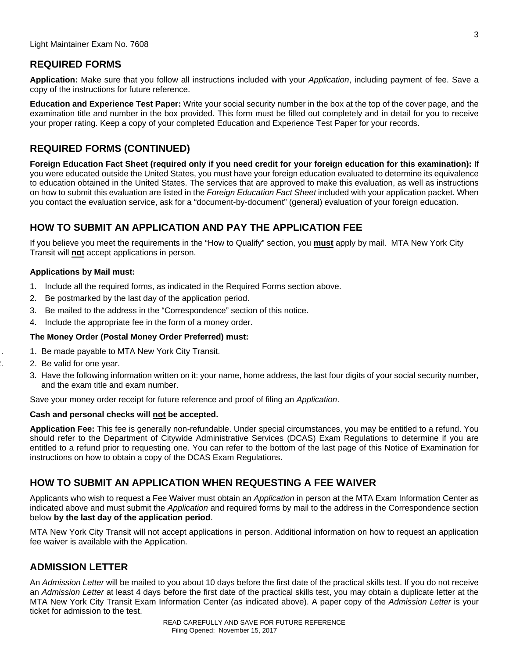#### **REQUIRED FORMS**

**Application:** Make sure that you follow all instructions included with your *Application*, including payment of fee. Save a copy of the instructions for future reference.

**Education and Experience Test Paper:** Write your social security number in the box at the top of the cover page, and the examination title and number in the box provided. This form must be filled out completely and in detail for you to receive your proper rating. Keep a copy of your completed Education and Experience Test Paper for your records.

#### **REQUIRED FORMS (CONTINUED)**

**Foreign Education Fact Sheet (required only if you need credit for your foreign education for this examination):** If you were educated outside the United States, you must have your foreign education evaluated to determine its equivalence to education obtained in the United States. The services that are approved to make this evaluation, as well as instructions on how to submit this evaluation are listed in the *Foreign Education Fact Sheet* included with your application packet. When you contact the evaluation service, ask for a "document-by-document" (general) evaluation of your foreign education.

#### **HOW TO SUBMIT AN APPLICATION AND PAY THE APPLICATION FEE**

If you believe you meet the requirements in the "How to Qualify" section, you **must** apply by mail. MTA New York City Transit will **not** accept applications in person.

#### **Applications by Mail must:**

- 1. Include all the required forms, as indicated in the Required Forms section above.
- 2. Be postmarked by the last day of the application period.
- 3. Be mailed to the address in the "Correspondence" section of this notice.
- 4. Include the appropriate fee in the form of a money order.

#### **The Money Order (Postal Money Order Preferred) must:**

- . 1. Be made payable to MTA New York City Transit.
- 2. 2. Be valid for one year.
- 3. Have the following information written on it: your name, home address, the last four digits of your social security number, and the exam title and exam number.

Save your money order receipt for future reference and proof of filing an *Application*.

#### **Cash and personal checks will not be accepted.**

**Application Fee:** This fee is generally non-refundable. Under special circumstances, you may be entitled to a refund. You should refer to the Department of Citywide Administrative Services (DCAS) Exam Regulations to determine if you are entitled to a refund prior to requesting one. You can refer to the bottom of the last page of this Notice of Examination for instructions on how to obtain a copy of the DCAS Exam Regulations.

#### **HOW TO SUBMIT AN APPLICATION WHEN REQUESTING A FEE WAIVER**

Applicants who wish to request a Fee Waiver must obtain an *Application* in person at the MTA Exam Information Center as indicated above and must submit the *Application* and required forms by mail to the address in the Correspondence section below **by the last day of the application period**.

MTA New York City Transit will not accept applications in person. Additional information on how to request an application fee waiver is available with the Application.

#### **ADMISSION LETTER**

An *Admission Letter* will be mailed to you about 10 days before the first date of the practical skills test. If you do not receive an *Admission Letter* at least 4 days before the first date of the practical skills test, you may obtain a duplicate letter at the MTA New York City Transit Exam Information Center (as indicated above). A paper copy of the *Admission Letter* is your ticket for admission to the test.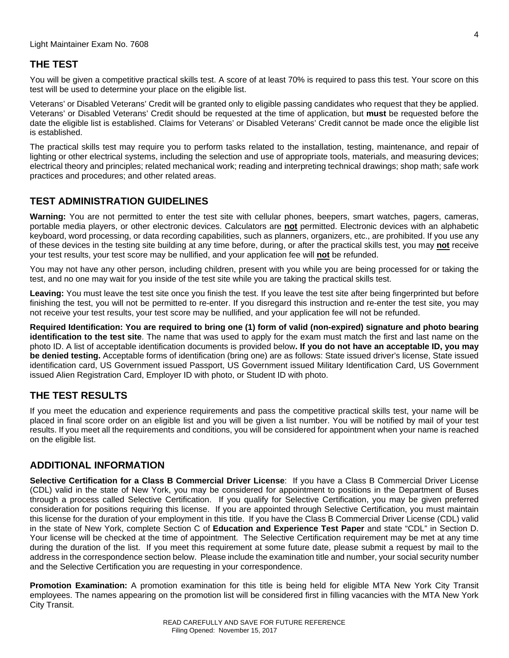#### **THE TEST**

You will be given a competitive practical skills test. A score of at least 70% is required to pass this test. Your score on this test will be used to determine your place on the eligible list.

Veterans' or Disabled Veterans' Credit will be granted only to eligible passing candidates who request that they be applied. Veterans' or Disabled Veterans' Credit should be requested at the time of application, but **must** be requested before the date the eligible list is established. Claims for Veterans' or Disabled Veterans' Credit cannot be made once the eligible list is established.

The practical skills test may require you to perform tasks related to the installation, testing, maintenance, and repair of lighting or other electrical systems, including the selection and use of appropriate tools, materials, and measuring devices; electrical theory and principles; related mechanical work; reading and interpreting technical drawings; shop math; safe work practices and procedures; and other related areas.

#### **TEST ADMINISTRATION GUIDELINES**

**Warning:** You are not permitted to enter the test site with cellular phones, beepers, smart watches, pagers, cameras, portable media players, or other electronic devices. Calculators are **not** permitted. Electronic devices with an alphabetic keyboard, word processing, or data recording capabilities, such as planners, organizers, etc., are prohibited. If you use any of these devices in the testing site building at any time before, during, or after the practical skills test, you may **not** receive your test results, your test score may be nullified, and your application fee will **not** be refunded.

You may not have any other person, including children, present with you while you are being processed for or taking the test, and no one may wait for you inside of the test site while you are taking the practical skills test.

**Leaving:** You must leave the test site once you finish the test. If you leave the test site after being fingerprinted but before finishing the test, you will not be permitted to re-enter. If you disregard this instruction and re-enter the test site, you may not receive your test results, your test score may be nullified, and your application fee will not be refunded.

**Required Identification: You are required to bring one (1) form of valid (non-expired) signature and photo bearing identification to the test site**. The name that was used to apply for the exam must match the first and last name on the photo ID. A list of acceptable identification documents is provided below**. If you do not have an acceptable ID, you may be denied testing.** Acceptable forms of identification (bring one) are as follows: State issued driver's license, State issued identification card, US Government issued Passport, US Government issued Military Identification Card, US Government issued Alien Registration Card, Employer ID with photo, or Student ID with photo.

#### **THE TEST RESULTS**

If you meet the education and experience requirements and pass the competitive practical skills test, your name will be placed in final score order on an eligible list and you will be given a list number. You will be notified by mail of your test results. If you meet all the requirements and conditions, you will be considered for appointment when your name is reached on the eligible list.

#### **ADDITIONAL INFORMATION**

**Selective Certification for a Class B Commercial Driver License**: If you have a Class B Commercial Driver License (CDL) valid in the state of New York, you may be considered for appointment to positions in the Department of Buses through a process called Selective Certification. If you qualify for Selective Certification, you may be given preferred consideration for positions requiring this license. If you are appointed through Selective Certification, you must maintain this license for the duration of your employment in this title. If you have the Class B Commercial Driver License (CDL) valid in the state of New York, complete Section C of **Education and Experience Test Paper** and state "CDL" in Section D. Your license will be checked at the time of appointment. The Selective Certification requirement may be met at any time during the duration of the list. If you meet this requirement at some future date, please submit a request by mail to the address in the correspondence section below. Please include the examination title and number, your social security number and the Selective Certification you are requesting in your correspondence.

**Promotion Examination:** A promotion examination for this title is being held for eligible MTA New York City Transit employees. The names appearing on the promotion list will be considered first in filling vacancies with the MTA New York City Transit.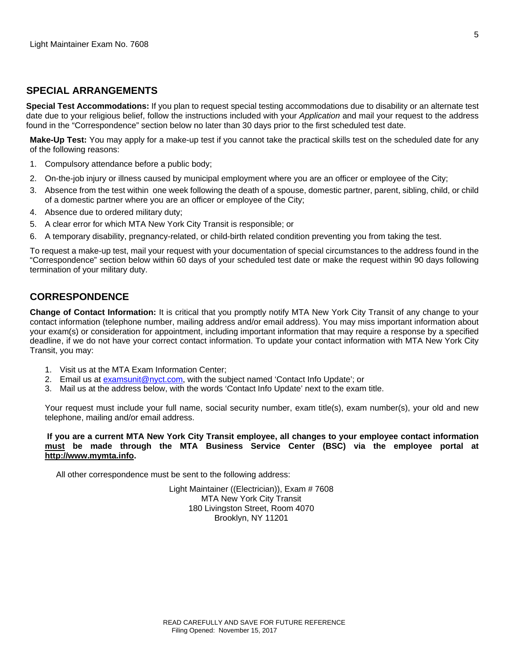#### **SPECIAL ARRANGEMENTS**

**Special Test Accommodations:** If you plan to request special testing accommodations due to disability or an alternate test date due to your religious belief, follow the instructions included with your *Application* and mail your request to the address found in the "Correspondence" section below no later than 30 days prior to the first scheduled test date.

**Make-Up Test:** You may apply for a make-up test if you cannot take the practical skills test on the scheduled date for any of the following reasons:

- 1. Compulsory attendance before a public body;
- 2. On-the-job injury or illness caused by municipal employment where you are an officer or employee of the City;
- 3. Absence from the test within one week following the death of a spouse, domestic partner, parent, sibling, child, or child of a domestic partner where you are an officer or employee of the City;
- 4. Absence due to ordered military duty;
- 5. A clear error for which MTA New York City Transit is responsible; or
- 6. A temporary disability, pregnancy-related, or child-birth related condition preventing you from taking the test.

To request a make-up test, mail your request with your documentation of special circumstances to the address found in the "Correspondence" section below within 60 days of your scheduled test date or make the request within 90 days following termination of your military duty.

#### **CORRESPONDENCE**

**Change of Contact Information:** It is critical that you promptly notify MTA New York City Transit of any change to your contact information (telephone number, mailing address and/or email address). You may miss important information about your exam(s) or consideration for appointment, including important information that may require a response by a specified deadline, if we do not have your correct contact information. To update your contact information with MTA New York City Transit, you may:

- 1. Visit us at the MTA Exam Information Center;
- 2. Email us at examsunit@nyct.com, with the subject named 'Contact Info Update'; or
- 3. Mail us at the address below, with the words 'Contact Info Update' next to the exam title.

Your request must include your full name, social security number, exam title(s), exam number(s), your old and new telephone, mailing and/or email address.

**If you are a current MTA New York City Transit employee, all changes to your employee contact information must be made through the MTA Business Service Center (BSC) via the employee portal at http://www.mymta.info.** 

All other correspondence must be sent to the following address:

Light Maintainer ((Electrician)), Exam # 7608 MTA New York City Transit 180 Livingston Street, Room 4070 Brooklyn, NY 11201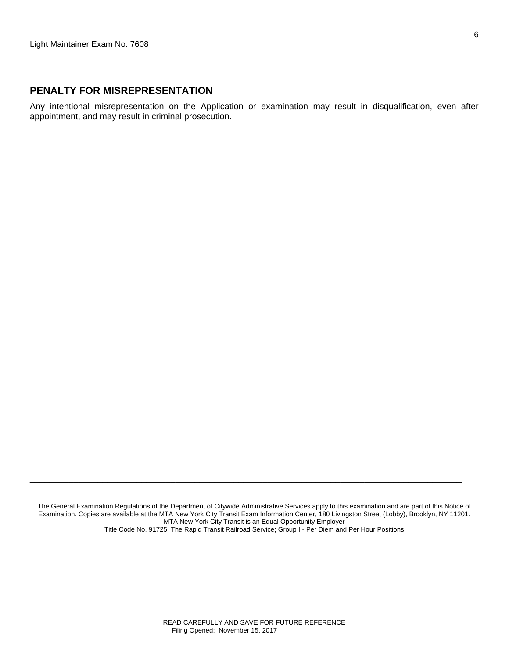#### **PENALTY FOR MISREPRESENTATION**

Any intentional misrepresentation on the Application or examination may result in disqualification, even after appointment, and may result in criminal prosecution.

The General Examination Regulations of the Department of Citywide Administrative Services apply to this examination and are part of this Notice of Examination. Copies are available at the MTA New York City Transit Exam Information Center, 180 Livingston Street (Lobby), Brooklyn, NY 11201. MTA New York City Transit is an Equal Opportunity Employer Title Code No. 91725; The Rapid Transit Railroad Service; Group I - Per Diem and Per Hour Positions

 $\Box$